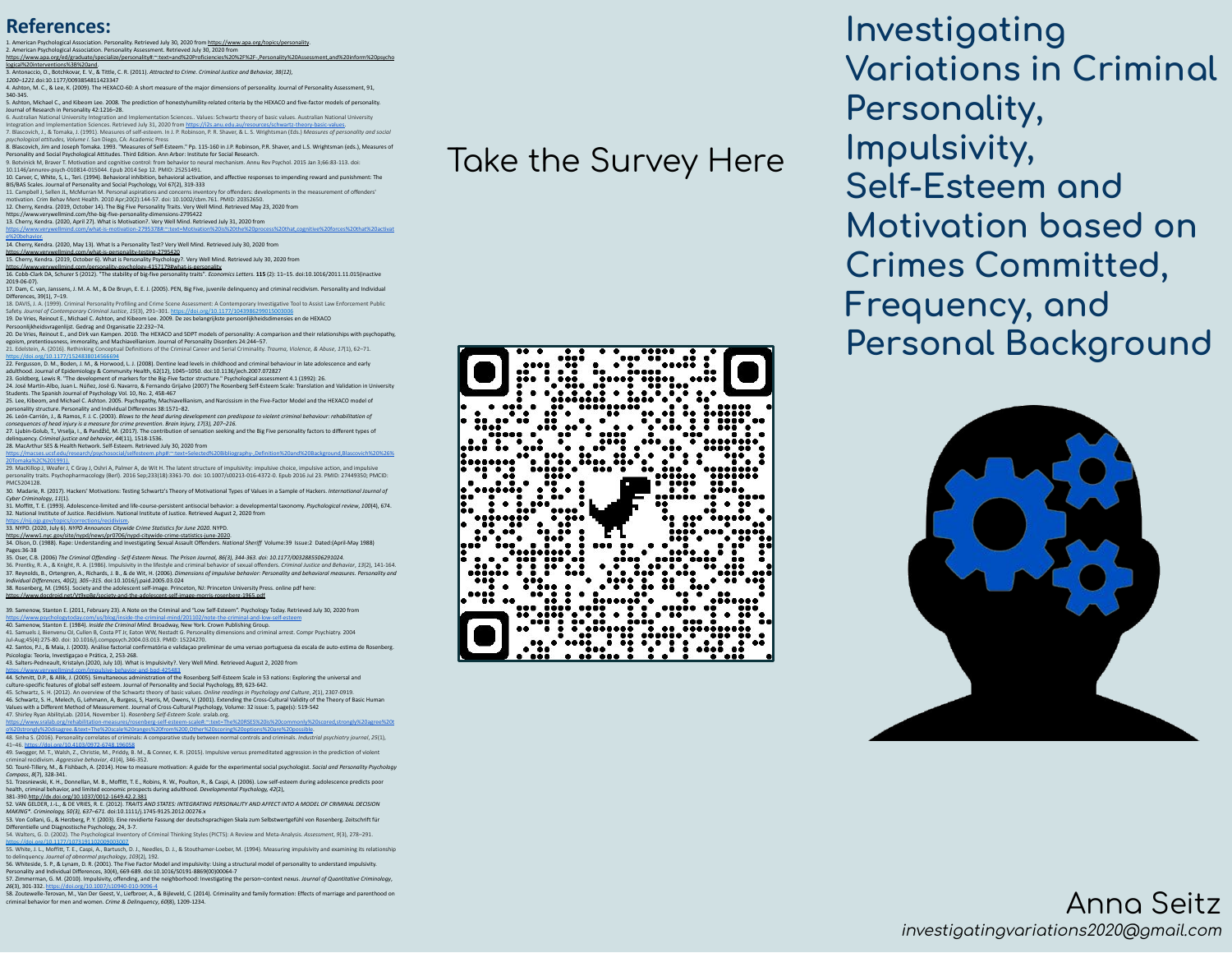## **References:**

nnality. Retrieved July 30, 2020 from [https://www.apa.org/topics/personality.](https://www.apa.org/topics/personality) 2. American Personality Assessment. Retrieved July 30, 2020 from Personality Assessment. Retrieved July 30, 2020 [https://www.apa.org/ed/graduate/specialize/personality#:~:text=and%20Proficiencies%20%2F%2F-,Personality%20Assessment,and%20inform%20psycho](https://www.apa.org/ed/graduate/specialize/personality#:~:text=and%20Proficiencies%20%2F%2F-,Personality%20Assessment,and%20inform%20psychological%20interventions%3B%20and) [logical%20interventions%3B%20and.](https://www.apa.org/ed/graduate/specialize/personality#:~:text=and%20Proficiencies%20%2F%2F-,Personality%20Assessment,and%20inform%20psychological%20interventions%3B%20and)

3. Antonaccio, O., Botchkovar, E. V., & Tittle, C. R. (2011). *Attracted to Crime. Criminal Justice and Behavior, 38(12), 1200–1221.*doi:10.1177/0093854811423347 4. Ashton, M. C., & Lee, K. (2009). The HEXACO-60: A short measure of the major dimensions of personality. Journal of Personality Assessment, 91,

340-345. 5. Ashton, Michael C., and Kibeom Lee. 2008. The prediction of honestyhumility-related criteria by the HEXACO and five-factor models of personality.

Journal of Research in Personality 42:1216–28. 6. Australian National University Integration and Implementation Sciences.. Values: Schwartz theory of basic values. Australian National University

Integration and Implementation Sciences. Retrieved July 31, 2020 from <u>httos://i2s anu.edu.au/resources/schwart:-theory-basic-values</u>.<br>7. Blascovich, J., & Tomaka, J. (1991). Measures of self-esteem. In J. P. Robinson, P. 8. Blascovich, Jim and Joseph Tomaka. 1993. "Measures of Self-Esteem." Pp. 115-160 in J.P. Robinson, P.R. Shaver, and L.S. Wrightsman (eds.), Measures of

Personality and Social Psychological Attitudes. Third Edition. Ann Arbor: Institute for Social Research.<br>9. Botvinick M, Braver T. Motivation and cognitive control: from behavior to neural mechanism. Annu Rev Psychol. 2015 10.1146/annurev-psych-010814-015044. Epub 2014 Sep 12. PMID: 25251491.

10. Carver, C, White, S, L., Teri. (1994). Behavioral inhibition, behavioral activation, and affective responses to impending reward and punishment: The<br>BIS/BAS Scales. Journal of Personality and Social Psychology, Vol. 67

motivation. Crim Behav Ment Health. 2010 Apr;20(2):144-57. doi: 10.1002/cbm.761. PMID: 20352650. 12. Cherry, Kendra. (2019, October 14). The Big Five Personality Traits. Very Well Mind. Retrieved May 23, 2020 from

<https://www.verywellmind.com/the-big-five-personality-dimensions-2795422> 13. Cherry, Kendra. (2020, April 27). What is Motivation?. Very Well Mind. Retrieved July 31, 2020 from

[https://www.verywellmind.com/what-is-motivation-2795378#:~:text=Motivation%20is%20the%20process%20that,cognitive%20forces%20that%20activat](https://www.verywellmind.com/what-is-motivation-2795378#:~:text=Motivation%20is%20the%20process%20that,cognitive%20forces%20that%20activate%20behavior.)

e<u>%20behavior.</u><br>14. Cherry, Kendra. (2020, May 13). What Is a Personality Test? Very Well Mind. Retrieved July 30, 2020 from

llmind.com/what-is-personality-testing-2795420

15. Cherry, Kendra. (2019, October 6). What is Personality Psychology?. Very Well Mind. Retrieved July 30, 2020 from<br><https://www.verywellmind.com/personality-psychology-4157179#what-is-personality> 16. Cobb-Clark DA, Schurer S (2012). "The stability of big-five personality traits". *Economics Letters*. **115** (2): 11–15. [doi](https://en.wikipedia.org/wiki/Digital_object_identifier)[:10.1016/2011.11.015](https://doi.org/10.1016%2F2011.11.015)(inactive

2019-06-07).<br>17. Dam, C. van, Ja <sub>1</sub><br>17. Dam, J. M. A. M., & De Bruyn, E. E. J. (2005). PEN, Big Five, juvenile delinquency and criminal recidivism. Personality and Individu

Differences, 39(1), 7–19. 18. DAVIS, J. A. (1999). Criminal Personality Profiling and Crime Scene Assessment: A Contemporary Investigative Tool to Assist Law Enforcement Public<br>Safety, Journal of Contemporary Criminal Justice, 15(3). 291–301. https

Safety. Jo*urnal of Contemporary Criminal Justice, 15*(3), 291–301. <u>https://doi.ore/10.1177/1043986299015003006</u><br>19. De Vries, Reinout E., Michael C. Ashton, and Kibeom Lee. 2009. De zes belangrijkste persoonlijkheidsdime

Persoonlijkheidsvragenlijst. Gedrag and Organisatie 22:232–74.<br>20. De Vries, Reinout E., and Dirk van Kampen. 2010. The HEXACO and SDPT models of personality: A comparison and their relationships with psychopathy,<br>egoism,

21. Edelstein, A. (2016). Rethinking Conceptual Definitions of the Criminal Career and Serial Criminality. *Trauma, Violence, & Abuse*, *17*(1), 62–71.

<https://doi.org/10.1177/1524838014566694><br>22. Fergusson, D. M., Boden, J. M., & Horwood, L. J. (2008). Dentine lead levels in childhood and criminal behaviour in late adolescence and early<br>adulthood. Journal of Epidemiology

24. José Martín-Albo, Juan L. Núñez, José G. Navarro, & Fernando Grijalvo (2007) [The Rosenberg Self-Esteem Scale: Translation and Validation in University](https://www.researchgate.net/profile/Jose_Martin-Albo/publication/5853773_The_Rosenberg_Self-Esteem_Scale_Translation_and_Validation_in_University_Students/links/0deec52b437930737c000000/The-Rosenberg-Self-Esteem-Scale-Translation-and-Validation-in-University-Students.pdf)  [Students.](https://www.researchgate.net/profile/Jose_Martin-Albo/publication/5853773_The_Rosenberg_Self-Esteem_Scale_Translation_and_Validation_in_University_Students/links/0deec52b437930737c000000/The-Rosenberg-Self-Esteem-Scale-Translation-and-Validation-in-University-Students.pdf) The Spanish Journal of Psychology Vol. 10, No. 2, 458-467

25. Lee, Kibeom, and Michael C. Ashton. 2005. Psychopathy, Machiavellianism, and Narcissism in the Five-Factor Model and the HEXACO model of<br>personality structure. Personality and Individual Differences 38:1571–82.<br>26. Leó

consequences of head injury is a measure for crime prevention. Brain Injury, 17(3), 207–216.<br>27. Ljubin-Golub, T., Vrselja, I., & Pandžić, M. (2017). The contribution of sensation seeking and the Big Five personality facto delinquency. *Criminal justice and behavior*, *44*(11), 1518-1536.

28. MacArthur SES & Health Network. Self-Esteem. Retrieved July 30, 2020 from<br>https://macses.ucsf.edu/research/psychosocial/selfesteem.php#:~:text=Selected%20Bibliography-.Definition%20and%20Background,Blascovich%20%26%

[20Tomaka%2C%201991\).](https://macses.ucsf.edu/research/psychosocial/selfesteem.php#:~:text=Selected%20Bibliography-,Definition%20and%20Background,Blascovich%20%26%20Tomaka%2C%201991).)<br>29. MacKillop J, Weafer J, C Gray J, Oshri A, Palmer A, de Wit H. The latent structure of impulsivity: impulsive choice, impulsive action, and impulsive personality traits. Psychopharmacology (Berl). 2016 Sep;233(18):3361-70. doi: 10.1007/s00213-016-4372-0. Epub 2016 Jul 23. PMID: 27449350; PMCID:

PMC5204128. 30. Madarie, R. (2017). Hackers' Motivations: Testing Schwartz's Theory of Motivational Types of Values in a Sample of Hackers. *International Journal of* 

*Cyber Criminology*, *11*(1). 31. Moffitt, T. E. (1993). Adolescence-limited and life-course-persistent antisocial behavior: a developmental taxonomy. *Psychological review*, *100*(4), 674. 32. National Institute of Justice. Recidivism. National Institute of Justice. Retrieved August 2, 2020 from

<https://nij.ojp.gov/topics/corrections/recidivism>.<br>33. NYPD. (2020, July 6). *NYPD Announces Citywide Crime Statistics for June 2020.* NYPD.

httos://www1.nvc.gov/site/nvod/news/or0706/nvod-citywide-crime-statistics-iune-2020.<br>34. Olson, D. (1988). Rape: Understanding and Investigating Sexual Assault Offenders. *Notional Sheriff V*olume:39 Issue:2 Dated:(April-M Pages:36-38

35. Oser, C.B. (2006) The *Criminal Offending - Self-Esteem Nexus. The Prison Journal, 86(3), 344-363. doi: 10.1177/0032885506291024.*<br>36. Prentky, R. A., & Knight, R. A. (1986). Impulsivity in the lifestyle and criminal b 37. Reynolds, B., Ortengren, A., Richards, J. B., & de Wit, H. (2006). Dimensions of impulsive behavior: Personality and behavioral measures. Personality and<br>Individual Differences, 40(2), 305–315. doi:10.1016/j.paid.2005.

38. Rosenberg, M. (1965). Society and the adolescent self-image. Princeton, NJ: Princeton University Press. online pdf here: id.net/Vt9xpBg/society-and-the-adolescent-self-image-morris-rosenberg-1965.pdf

39. Samenow, Stanton E. (2011, February 23). A Note on the Criminal and "Low Self-Esteem". Psychology Today. Retrieved July 30, 2020 from

<https://www.psychologytoday.com/us/blog/inside-the-criminal-mind/201102/note-the-criminal-and-low-self-esteem><br>40. Samenow, Stanton E. (1984)*. Inside the Criminal Mind.* Broadway, New York. Crown Publishing Group.

41. Samuels J, Bienvenu OJ, Cullen B, Costa PT Jr, Eaton WW, Nestadt G. Personality dimensions and criminal arrest. Compr Psychiatry. 2004

Jul-Aug;45(4):275-80. doi: 10.1016/j.comppsych.2004.03.013. PMID: 15224270.<br>42. Santos, P.J., & Maia, J. (2003). Análise factorial confirmatória e validaçao preliminar de uma versao portuguesa da escala de auto-estima de R Psicologia: Teoria, Investigaçao e Prática, 2, 253-268.

43. Salters-Pedneault, Kristalyn.(2020, July 10). What is Impulsivity?. Very Well Mind. Retrieved August 2, 2020 from

httos://www.verywellmind.com/impulsive-behavior-and-bpd-425483<br>44. Schmitt, D.P., & Allik, J. (2005). Simultaneous administration of the Rosenberg Self-Esteem Scale in 53 nations: Exploring the universal and [culture-specific features of global self esteem.](http://psych.ut.ee/~jyri/en/Schmitt-Allik_JPSP2005.pdf) Journal of Personality and Social Psychology, 89, 623-642.<br>45. Schwartz, S. H. (2012). An overview of the Schwartz theory of basic values. *Online readings in Psychology and* 

46. Schwartz, S. H., Melech, G, Lehmann, A, Burgess, S, Harris, M, Owens, V. (2001). Extending the Cross-Cultural Validity of the Theory of Basic Human<br>Values with a Different Method of Measurement. Journal of Cross-Cultur

[https://www.sralab.org/rehabilitation-measures/rosenberg-self-esteem-scale#:~:text=The%20RSES%20is%20commonly%20scored,strongly%20agree%20t](https://www.sralab.org/rehabilitation-measures/rosenberg-self-esteem-scale#:~:text=The%20RSES%20is%20commonly%20scored,strongly%20agree%20to%20strongly%20disagree.&text=The%20scale%20ranges%20from%200,Other%20scoring%20options%20are%20possible)

[o%20strongly%20disagree.&text=The%20scale%20ranges%20from%200,Other%20scoring%20options%20are%20possible](https://www.sralab.org/rehabilitation-measures/rosenberg-self-esteem-scale#:~:text=The%20RSES%20is%20commonly%20scored,strongly%20agree%20to%20strongly%20disagree.&text=The%20scale%20ranges%20from%200,Other%20scoring%20options%20are%20possible).<br>48. Sinha S. (2016). Personality correlates of criminals: A comparative study between normal controls and criminals

41–46. <u><https://doi.org/10.4103/0972-6748.196058></u><br>49. Swogger, M. T., Walsh, Z., Christie, M., Priddy, B. M., & Conner, K. R. (2015). Impulsive versus premeditated aggression in the prediction of violent criminal recidivism. *Aggressive behavior*, *41*(4), 346-352.

50. Touré-Tillery, M., & Fishbach, A. (2014). How to measure motivation: A guide for the experimental social psychologist. *Social and Personality Psychology Compass*, *8*(7), 328-341.

51. Trzesniewski, K. H., Donnellan, M. B., Moffitt, T. E., Robins, R. W., Poulton, R., & Caspi, A. (2006). Low self-esteem during adolescence predicts poor<br>health, criminal behavior, and limited economic prospects during a

52. VAN GELDER, J.-L., & DE VRIES, R. E. (2012). *TRAITS AND STATES: INTEGRATING PERSONALITY AND AFFECT INTO A MODEL OF CRIMINAL DECISION* 

MAKING\*. Criminology, 50(3), 637–671. doi:10.1111/j.1745-9125.2012.00276.x<br>53. Von Collani, G., & Herzberg, P. Y. (2003). Eine revidierte Fassung der deutschsprachigen Skala zum Selbstwertgefühl von Rosenberg. Zeitschrift

Differentielle und Diagnostische Psychology, 24, 3-7. 54. Walters, G. D. (2002). The Psychological Inventory of Criminal Thinking Styles (PICTS): A Review and Meta-Analysis. *Assessment*, *9*(3), 278–291.

https://doi.org/10.1177/1073191100200002007<br>to delinquercy. Journal of abnormal psychology, 103(2), 192.<br>to delinquercy. Journal of abnormal psychology, 103(2), 192.<br>56. Whiteside, S. P., & Lynam, D. R. (2001). The Five Fa

Personality and Individual Differences, 30(4), 669-689. doi:10.1016/S0191-8869(00)00064-7<br>57. Zimmerman, G. M. (2010). Impulsivity, offending, and the neighborhood: Investigating the person–context nexus*. Journal of Quant* 

26[3], 301-332. <u>https://doi.onr/10.1007/s10940-010-9096-4.</u><br>58. Zoutewelle-Terovan, M., Van Der Geest, V., Liefbroer, A., & Bijleveld, C. (2014). Criminality and family formation: Effects of marriage and parenthood on<br>cri

Take the Survey Here



**Investigating Variations in Criminal Personality, Impulsivity, Selÿ-Esteem and Motivation based on Crimes Committed, Frequency, and Personal Background** 



## Anna Seitz investigatingvariations2020@gmail.com